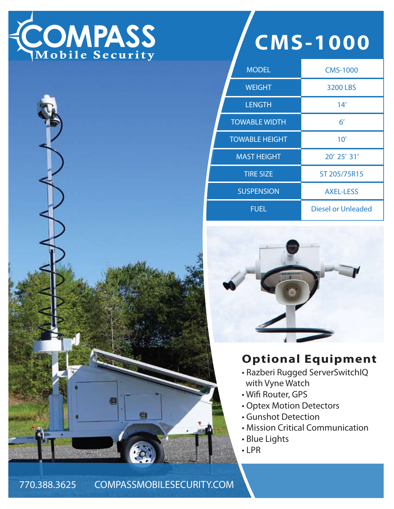



| <b>MODEL</b>          | <b>CMS-1000</b>           |
|-----------------------|---------------------------|
| <b>WEIGHT</b>         | <b>3200 LBS</b>           |
| <b>LENGTH</b>         | 14'                       |
| <b>TOWABLE WIDTH</b>  | $6^{\prime}$              |
| <b>TOWABLE HEIGHT</b> | 10'                       |
| <b>MAST HEIGHT</b>    | 20' 25' 31'               |
| <b>TIRE SIZE</b>      | ST 205/75R15              |
| <b>SUSPENSION</b>     | <b>AXEL-LESS</b>          |
| <b>FUEL</b>           | <b>Diesel or Unleaded</b> |



## **Optional Equipment**

- Razberi Rugged ServerSwitchIQ with Vyne Watch
- Wifi Router, GPS
- Optex Motion Detectors
- Gunshot Detection
- Mission Critical Communication
- Blue Lights
- LPR